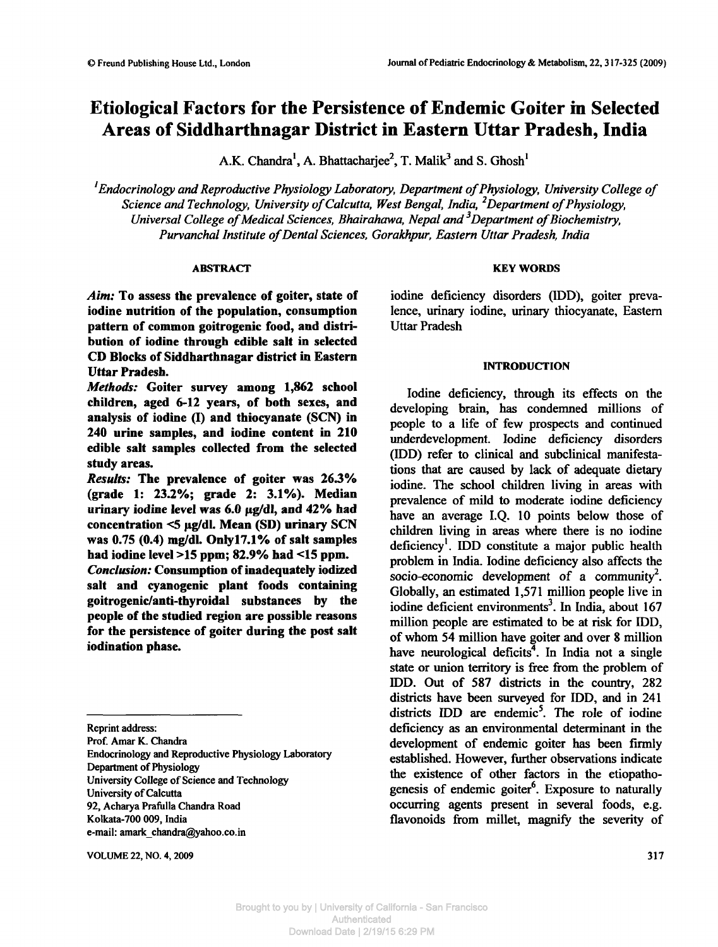A.K. Chandra<sup>1</sup>, A. Bhattacharjee<sup>2</sup>, T. Malik<sup>3</sup> and S. Ghosh<sup>1</sup>

*'Endocrinology and Reproductive Physiology Laboratory, Department of Physiology, University College of Science and Technology, University of Calcutta, West Bengal, India,<sup>2</sup>Department of Physiology, Universal College of Medical Sciences, Bhairahawa, Nepal and<sup>3</sup>Department of Biochemistry, Purvanchal Institute of Dental Sciences, Gorakhpur, Eastern Uttar Pradesh, India*

## **ABSTRACT**

*Aim:* To assess **the prevalence of goiter, state of iodine nutrition of the population, consumption pattern of common goitrogenic food, and distribution of iodine through edible salt in selected CD Blocks of Siddharthnagar district in Eastern Uttar Pradesh.**

*Methods:* **Goiter survey among 1,862 school children, aged 6-12 years, of both** sexes, **and analysis of iodine (I) and thiocyanate** (SCN) **in 240 urine samples, and iodine content in 210 edible salt samples collected from the selected study areas.**

*Results:* **The prevalence of goiter was 26.3% (grade 1: 23.2%; grade 2: 3.1%). Median** urinary iodine level was 6.0 µg/dl, and 42% had concentration <5 µg/dl. Mean (SD) urinary SCN **was 0.75 (0.4) mg/dl. Onlyl7.1% of salt samples had iodine level >15 ppm; 82.9% had <15 ppm.**

*Conclusion:* **Consumption of inadequately iodized salt and cyanogenic plant foods containing goitrogenic/anti-thyroidal substances by the people of the studied region are possible reasons for the persistence of goiter during the post salt iodination phase.**

Prof. Amar K. Chandra

Endocrinology and Reproductive Physiology Laboratory Department of Physiology University College of Science and Technology University of Calcutta 92, Acharya Prafulla Chandra Road Kolkata-700 009, India e-mail: amark\_chandra@yahoo.co.in

VOLUME 22, NO. 4, 2009 317

## **KEY WORDS**

iodine deficiency disorders (IDD), goiter prevalence, urinary iodine, urinary thiocyanate, Eastern Uttar Pradesh

## **INTRODUCTION**

Iodine deficiency, through its effects on the developing brain, has condemned millions of people to a life of few prospects and continued underdevelopment. Iodine deficiency disorders (IDD) refer to clinical and subclinical manifestations that are caused by lack of adequate dietary iodine. The school children living in areas with prevalence of mild to moderate iodine deficiency have an average I.Q. 10 points below those of children living in areas where there is no iodine deficiency<sup>1</sup>. IDD constitute a major public health problem in India. Iodine deficiency also affects the socio-economic development of a community<sup>2</sup>. Globally, an estimated 1,571 million people live in iodine deficient environments<sup>3</sup>. In India, about 167 million people are estimated to be at risk for IDD, of whom 54 million have goiter and over 8 million have neurological deficits<sup>4</sup>. In India not a single state or union territory is free from the problem of IDD. Out of 587 districts in the country, 282 districts have been surveyed for IDD, and in 241 districts IDD are endemic<sup>5</sup>. The role of iodine deficiency as an environmental determinant in the development of endemic goiter has been firmly established. However, further observations indicate the existence of other factors in the etiopathogenesis of endemic goiter<sup>6</sup>. Exposure to naturally occurring agents present in several foods, e.g. fiavonoids from millet, magnify the severity of

Reprint address: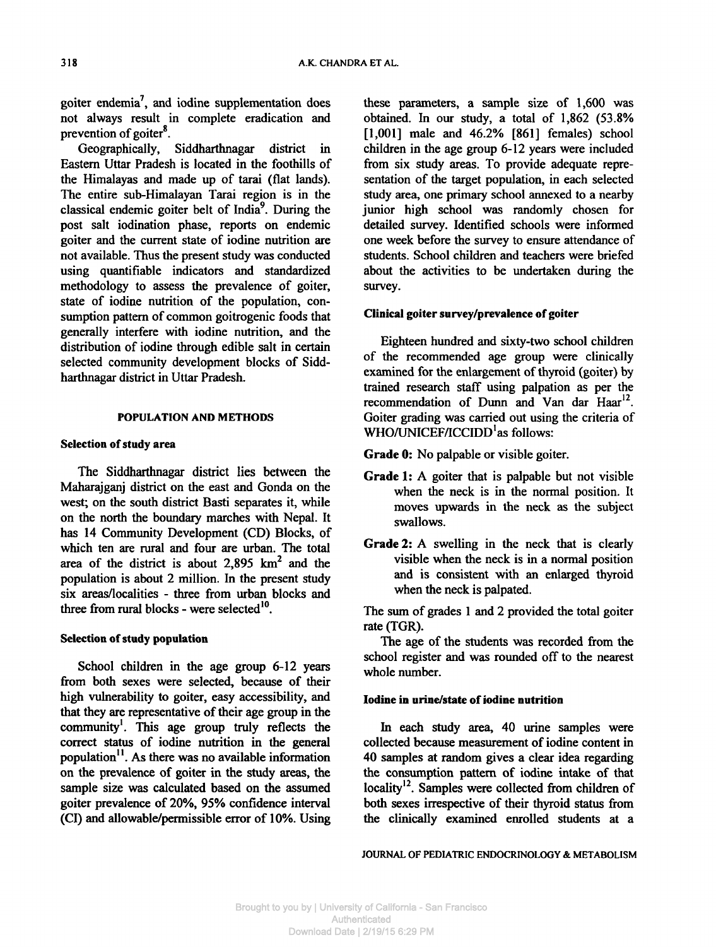goiter endemia<sup>7</sup>, and iodine supplementation does not always result in complete eradication and prevention of goiter<sup>8</sup>.

Geographically, Siddharthnagar district in Eastern Uttar Pradesh is located in the foothills of the Himalayas and made up of tarai (flat lands). The entire sub-Himalayan Tarai region is in the classical endemic goiter belt of India<sup>9</sup>. During the post salt iodination phase, reports on endemic goiter and the current state of iodine nutrition are not available. Thus the present study was conducted using quantifiable indicators and standardized methodology to assess the prevalence of goiter, state of iodine nutrition of the population, consumption pattern of common goitrogenic foods that generally interfere with iodine nutrition, and the distribution of iodine through edible salt in certain selected community development blocks of Siddharthnagar district in Uttar Pradesh.

### **POPULATION AND METHODS**

### **Selection of study area**

The Siddharthnagar district lies between the Maharajganj district on the east and Gonda on the west; on the south district Basti separates it, while on the north the boundary marches with Nepal. It has 14 Community Development (CD) Blocks, of which ten are rural and four are urban. The total area of the district is about  $2,895$  km<sup>2</sup> and the population is about 2 million. In the present study six areas/localities - three from urban blocks and three from rural blocks - were selected $^{10}$ .

## **Selection of study population**

School children in the age group 6-12 years from both sexes were selected, because of their high vulnerability to goiter, easy accessibility, and that they are representative of their age group in the community<sup>1</sup>. This age group truly reflects the correct status of iodine nutrition in the general population<sup>11</sup>. As there was no available information on the prevalence of goiter in the study areas, the sample size was calculated based on the assumed goiter prevalence of 20%, 95% confidence interval (CI) and allowable/permissible error of 10%. Using these parameters, a sample size of 1,600 was obtained. In our study, a total of 1,862 (53.8% [1,001] male and 46.2% [861] females) school children in the age group 6-12 years were included from six study areas. To provide adequate representation of the target population, in each selected study area, one primary school annexed to a nearby junior high school was randomly chosen for detailed survey. Identified schools were informed one week before the survey to ensure attendance of students. School children and teachers were briefed about the activities to be undertaken during the survey.

#### **Clinical goiter survey/prevalence of goiter**

Eighteen hundred and sixty-two school children of the recommended age group were clinically examined for the enlargement of thyroid (goiter) by trained research staff using palpation as per the recommendation of Dunn and Van dar Haar<sup>12</sup>. Goiter grading was carried out using the criteria of WHO/UNICEF/ICCIDD'as follows:

**Grade 0:** No palpable or visible goiter.

- **Grade 1:** A goiter that is palpable but not visible when the neck is in the normal position. It moves upwards in the neck as the subject swallows.
- **Grade 2:** A swelling in the neck that is clearly visible when the neck is in a normal position and is consistent with an enlarged thyroid when the neck is palpated.

The sum of grades 1 and 2 provided the total goiter rate (TGR).

The age of the students was recorded from the school register and was rounded off to the nearest whole number.

## **Iodine in urine/state of iodine nutrition**

In each study area, 40 urine samples were collected because measurement of iodine content in 40 samples at random gives a clear idea regarding the consumption pattern of iodine intake of that locality<sup>12</sup>. Samples were collected from children of both sexes irrespective of their thyroid status from the clinically examined enrolled students at a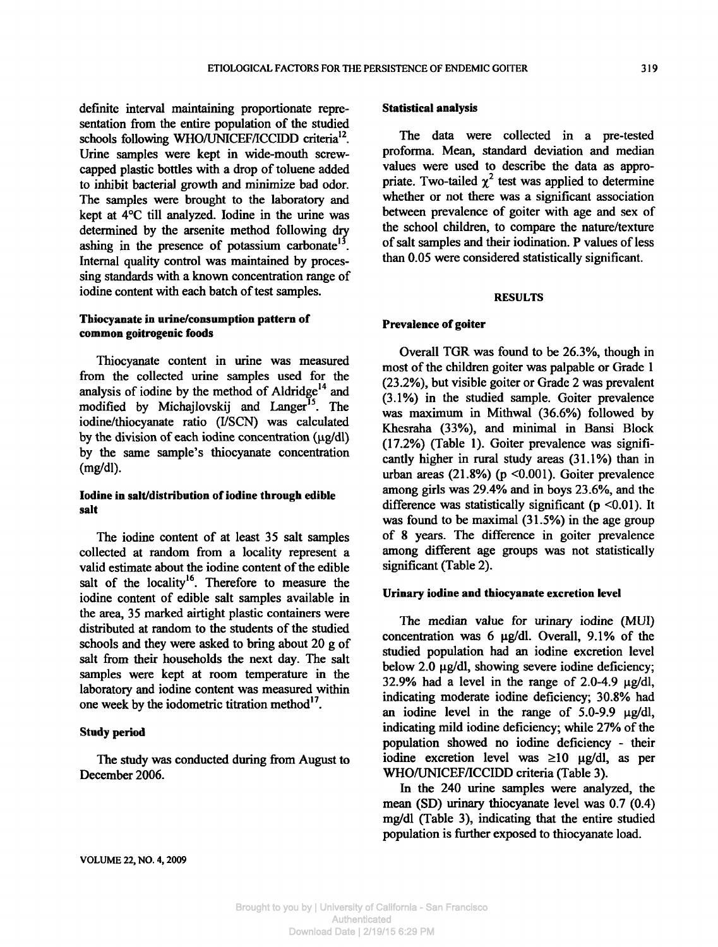definite interval maintaining proportionate representation from the entire population of the studied schools following WHO/UNICEF/ICCIDD criteria<sup>12</sup>. Urine samples were kept in wide-mouth screwcapped plastic bottles with a drop of toluene added to inhibit bacterial growth and minimize bad odor. The samples were brought to the laboratory and kept at 4°C till analyzed. Iodine in the urine was determined by the arsenite method following dry ashing in the presence of potassium carbonate<sup>13</sup>. Internal quality control was maintained by processing standards with a known concentration range of iodine content with each batch of test samples.

# **Thiocyanate in urine/consumption pattern of common goitrogenic foods**

Thiocyanate content in urine was measured from the collected urine samples used for the analysis of iodine by the method of Aldridge<sup>14</sup> and modified by Michajlovskij and Langer<sup>15</sup>. The iodine/thiocyanate ratio (I/SCN) was calculated by the division of each iodine concentration *(\ig/dl·)* by the same sample's thiocyanate concentration (mg/dl).

# **Iodine in salt/distribution of iodine through edible salt**

The iodine content of at least 35 salt samples collected at random from a locality represent a valid estimate about the iodine content of the edible salt of the locality<sup>16</sup>. Therefore to measure the iodine content of edible salt samples available in the area, 35 marked airtight plastic containers were distributed at random to the students of the studied schools and they were asked to bring about 20 g of salt from their households the next day. The salt samples were kept at room temperature in the laboratory and iodine content was measured within one week by the iodometric titration method<sup>17</sup>.

# **Study period**

The study was conducted during from August to December 2006.

## **Statistical analysis**

The data were collected in a pre-tested proforma. Mean, standard deviation and median values were used to describe the data as appropriate. Two-tailed  $\chi^2$  test was applied to determine whether or not there was a significant association between prevalence of goiter with age and sex of the school children, to compare the nature/texture of salt samples and their iodination. P values of less than 0.05 were considered statistically significant.

### **RESULTS**

## **Prevalence of goiter**

Overall TGR was found to be 26.3%, though in most of the children goiter was palpable or Grade 1 (23.2%), but visible goiter or Grade 2 was prevalent (3.1%) in the studied sample. Goiter prevalence was maximum in Mithwal (36.6%) followed by Khesraha (33%), and minimal in Bansi Block (17.2%) (Table 1). Goiter prevalence was significantly higher in rural study areas (31.1%) than in urban areas  $(21.8\%)$  (p < 0.001). Goiter prevalence among girls was 29.4% and in boys 23.6%, and the difference was statistically significant ( $p \le 0.01$ ). It was found to be maximal (31.5%) in the age group of 8 years. The difference in goiter prevalence among different age groups was not statistically significant (Table 2).

## **Urinary iodine and thiocyanate excretion level**

The median value for urinary iodine (MUI) concentration was 6  $\mu$ g/dl. Overall, 9.1% of the studied population had an iodine excretion level below 2.0  $\mu$ g/dl, showing severe iodine deficiency; 32.9% had a level in the range of 2.0-4.9  $\mu$ g/dl, indicating moderate iodine deficiency; 30.8% had an iodine level in the range of  $5.0\n-9.9$   $\mu$ g/dl, indicating mild iodine deficiency; while 27% of the population showed no iodine deficiency - their iodine excretion level was >10 *\ig/d\,* as per WHO/UNICEF/ICCIDD criteria (Table 3).

In the 240 urine samples were analyzed, the mean (SD) urinary thiocyanate level was 0.7 (0.4) mg/dl (Table 3), indicating that the entire studied population is further exposed to thiocyanate load.

VOLUME 22, NO. 4,2009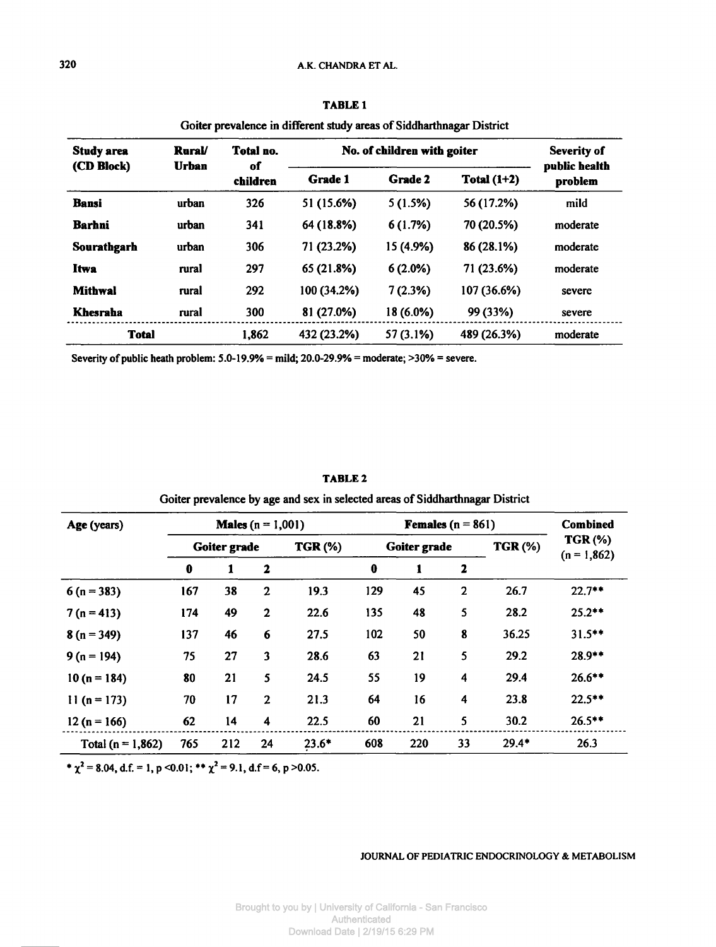# **320** A.K. CHANDRA ET AL.

| <b>Study area</b><br>(CD Block) | <b>Rural</b><br><b>Urban</b> | Total no.<br>of<br>children | No. of children with goiter | <b>Severity of</b><br>public health |               |          |  |
|---------------------------------|------------------------------|-----------------------------|-----------------------------|-------------------------------------|---------------|----------|--|
|                                 |                              |                             | Grade 1                     | Grade 2                             | Total $(1+2)$ | problem  |  |
| Bansi                           | urban                        | 326                         | 51 (15.6%)                  | 5(1.5%)                             | 56 (17.2%)    | mild     |  |
| <b>Barhni</b>                   | urban                        | 341                         | 64 (18.8%)                  | 6(1.7%)                             | 70 (20.5%)    | moderate |  |
| Sourathgarh                     | urban                        | 306                         | 71 (23.2%)                  | 15 (4.9%)                           | 86 (28.1%)    | moderate |  |
| <b>Itwa</b>                     | rural                        | 297                         | 65 (21.8%)                  | 6(2.0%)                             | 71 (23.6%)    | moderate |  |
| <b>Mithwal</b>                  | rural                        | 292                         | 100 (34.2%)                 | 7(2.3%)                             | 107 (36.6%)   | severe   |  |
| Khesraha                        | rural                        | 300                         | 81 (27.0%)                  | 18 (6.0%)                           | 99 (33%)      | severe   |  |
| <b>Total</b>                    |                              | 1,862                       | 432 (23.2%)                 | 57 (3.1%)                           | 489 (26.3%)   | moderate |  |

**TABLE 1** Goiter prevalence in different study areas of Siddharthnagar District

Severity of public heath problem: 5.0-19.9% = mild; 20.0-29.9% = moderate; >30% = severe.

| Age (years)         | <b>Males</b> $(n = 1,001)$ |     |                |                | <b>Females</b> $(n = 861)$ |     |              |                | Combined                        |
|---------------------|----------------------------|-----|----------------|----------------|----------------------------|-----|--------------|----------------|---------------------------------|
|                     | Goiter grade               |     |                | <b>TGR (%)</b> | Goiter grade               |     |              | <b>TGR (%)</b> | <b>TGR (%)</b><br>$(n = 1,862)$ |
|                     | $\mathbf 0$                | 1   | $\mathbf{2}$   |                | 0                          |     | 2            |                |                                 |
| $6(n = 383)$        | 167                        | 38  | $\mathbf{2}$   | 19.3           | 129                        | 45  | $\mathbf{2}$ | 26.7           | $22.7***$                       |
| $7(n = 413)$        | 174                        | 49  | $\mathbf{2}$   | 22.6           | 135                        | 48  | 5            | 28.2           | $25.2***$                       |
| $8(n = 349)$        | 137                        | 46  | 6              | 27.5           | 102                        | 50  | 8            | 36.25          | $31.5***$                       |
| $9(n = 194)$        | 75                         | 27  | 3              | 28.6           | 63                         | 21  | 5            | 29.2           | $28.9**$                        |
| $10(n = 184)$       | 80                         | 21  | 5              | 24.5           | 55                         | 19  | 4            | 29.4           | $26.6***$                       |
| $11(n = 173)$       | 70                         | 17  | $\overline{2}$ | 21.3           | 64                         | 16  | 4            | 23.8           | $22.5***$                       |
| $12(n = 166)$       | 62                         | 14  | 4              | 22.5           | 60                         | 21  | 5            | 30.2           | $26.5***$                       |
| Total $(n = 1,862)$ | 765                        | 212 | 24             | $23.6*$        | 608                        | 220 | 33           | $29.4*$        | 26.3                            |

Goiter prevalence by age and sex in selected areas of Siddharthnagar District TABLE 2

\*  $\chi^2$  = 8.04, d.f. = 1, p < 0.01; \*\*  $\chi^2$  = 9.1, d.f = 6, p > 0.05.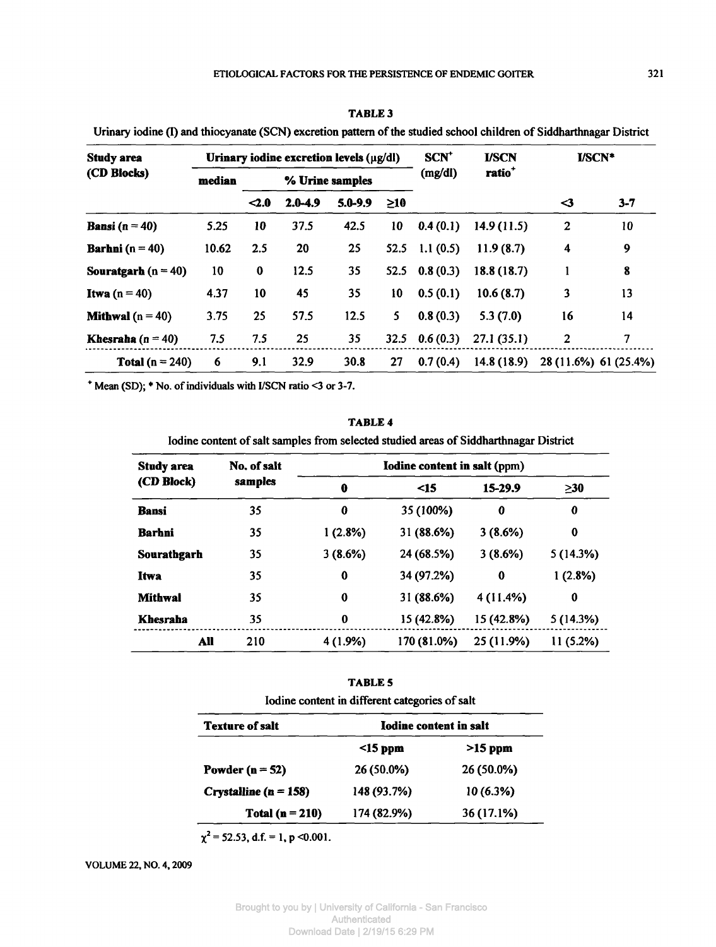| <b>Study area</b>          |        |                 | Urinary iodine excretion levels $(\mu g/dl)$ |             |          | <b>SCN<sup>+</sup></b> | <b>I/SCN</b> | <b>I/SCN*</b>         |         |
|----------------------------|--------|-----------------|----------------------------------------------|-------------|----------|------------------------|--------------|-----------------------|---------|
| (CD Blocks)                | median | % Urine samples |                                              |             | (mg/dl)  | ratio <sup>+</sup>     |              |                       |         |
|                            |        | $\leq 2.0$      | $2.0 - 4.9$                                  | $5.0 - 9.9$ | $\geq10$ |                        |              | ⊲                     | $3 - 7$ |
| <b>Bansi</b> ( $n = 40$ )  | 5.25   | 10              | 37.5                                         | 42.5        | 10       | 0.4(0.1)               | 14.9(11.5)   | $\overline{2}$        | 10      |
| <b>Barhni</b> ( $n = 40$ ) | 10.62  | 2.5             | 20                                           | 25          | 52.5     | 1.1(0.5)               | 11.9(8.7)    | $\overline{\bf{4}}$   | 9       |
| Souratgarb ( $n = 40$ )    | 10     | $\bf{0}$        | 12.5                                         | 35          | 52.5     | 0.8(0.3)               | 18.8 (18.7)  | 1                     | 8       |
| <b>Itwa</b> $(n = 40)$     | 4.37   | 10              | 45                                           | 35          | 10       | 0.5(0.1)               | 10.6(8.7)    | 3                     | 13      |
| <b>Mithwal</b> $(n = 40)$  | 3.75   | 25              | 57.5                                         | 12.5        | 5.       | 0.8(0.3)               | 5.3(7.0)     | 16                    | 14      |
| Khesraha ( $n = 40$ )      | 7.5    | 7.5             | 25                                           | 35          | 32.5     | 0.6(0.3)               | 27.1(35.1)   | $\overline{2}$        | 7       |
| Total $(n = 240)$          | 6      | 9.1             | 32.9                                         | 30.8        | 27       | 0.7(0.4)               | 14.8(18.9)   | 28 (11.6%) 61 (25.4%) |         |

**TABLE 3** Urinary iodine (I) and thiocyanate (SCN) excretion pattern of the studied school children of Siddharthnagar District

\* Mean (SD); \* No. of individuals with I/SCN ratio <3 or 3-7.

| <b>Study area</b><br>(CD Block) | No. of salt | Iodine content in salt (ppm) |             |            |           |  |  |
|---------------------------------|-------------|------------------------------|-------------|------------|-----------|--|--|
|                                 | samples     | 0                            | $\leq$ 15   | 15-29.9    | $\geq$ 30 |  |  |
| <b>Bansi</b>                    | 35          | 0                            | 35 (100%)   | 0          | 0         |  |  |
| Barhni                          | 35          | 1(2.8%)                      | 31 (88.6%)  | 3(8.6%)    | 0         |  |  |
| Sourathgarh                     | 35          | 3(8.6%)                      | 24 (68.5%)  | 3(8.6%)    | 5(14.3%)  |  |  |
| Itwa                            | 35          | 0                            | 34 (97.2%)  | 0          | 1(2.8%)   |  |  |
| <b>Mithwal</b>                  | 35          | 0                            | 31 (88.6%)  | 4 (11.4%)  | $\bf{0}$  |  |  |
| Khesraha                        | 35          | $\bf{0}$                     | 15 (42.8%)  | 15 (42.8%) | 5(14.3%)  |  |  |
| All                             | 210         | 4 (1.9%)                     | 170 (81.0%) | 25 (11.9%) | 11 (5.2%) |  |  |

**TABLE 4**

TABLE 5

| Iodine content in different categories of salt |                        |            |  |  |  |
|------------------------------------------------|------------------------|------------|--|--|--|
| <b>Texture of salt</b>                         | Iodine content in salt |            |  |  |  |
|                                                | $\leq$ 15 ppm          | $>15$ ppm  |  |  |  |
| Powder ( $n = 52$ )                            | 26 (50.0%)             | 26 (50.0%) |  |  |  |
| Crystalline ( $n = 158$ )                      | 148 (93.7%)            | 10(6.3%)   |  |  |  |
| Total $(n = 210)$                              | 174 (82.9%)            | 36 (17.1%) |  |  |  |

 $\chi^2$  = 52.53, d.f. = 1, p < 0.001.

VOLUME 22, NO. 4,2009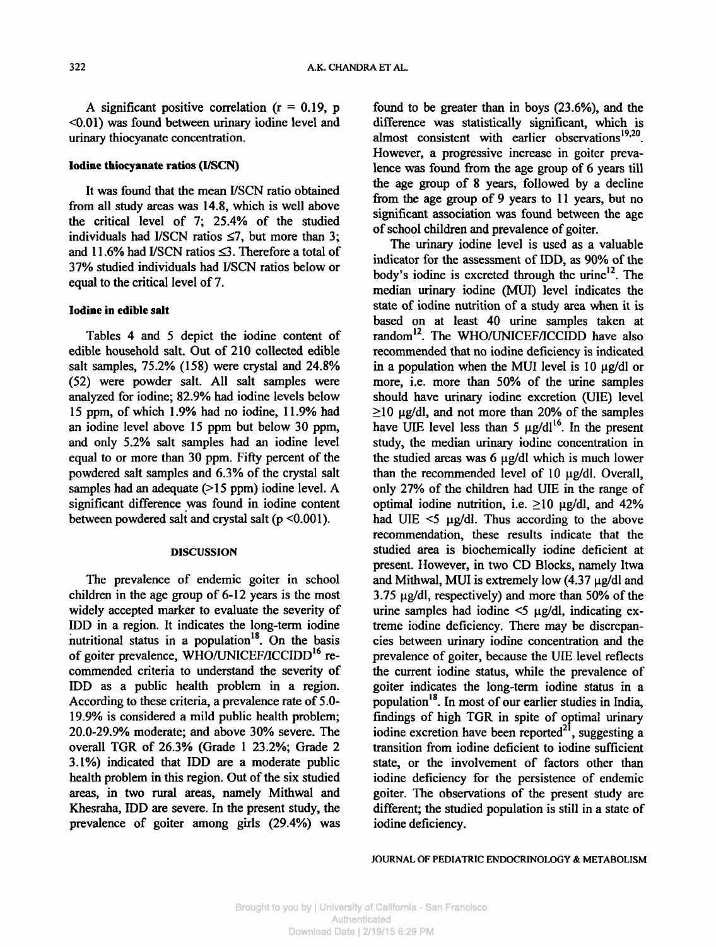A significant positive correlation  $(r = 0.19, p)$ <0.01) was found between urinary iodine level and urinary thiocyanate concentration.

### **Iodine thiocyanate ratios (I/SCN)**

It was found that the mean I/SCN ratio obtained from all study areas was 14.8, which is well above the critical level of 7; 25.4% of the studied individuals had I/SCN ratios  $\leq 7$ , but more than 3; and 11.6% had I/SCN ratios <3. Therefore a total of 37% studied individuals had I/SCN ratios below or equal to the critical level of 7.

#### **Iodine in edible salt**

Tables 4 and 5 depict the iodine content of edible household salt. Out of 210 collected edible salt samples, 75.2% (158) were crystal and 24.8% (52) were powder salt. All salt samples were analyzed for iodine; 82.9% had iodine levels below 15 ppm, of which 1.9% had no iodine, 11.9% had an iodine level above 15 ppm but below 30 ppm, and only 5.2% salt samples had an iodine level equal to or more than 30 ppm. Fifty percent of the powdered salt samples and 6.3% of the crystal salt samples had an adequate (>15 ppm) iodine level. A significant difference was found in iodine content between powdered salt and crystal salt ( $p \le 0.001$ ).

### **DISCUSSION**

The prevalence of endemic goiter in school children in the age group of 6-12 years is the most widely accepted marker to evaluate the severity of IDD in a region. It indicates the long-term iodine nutritional status in a population<sup>18</sup>. On the basis of goiter prevalence, WHO/UNICEF/ICCIDD<sup>16</sup> recommended criteria to understand the severity of IDD as a public health problem in a region. According to these criteria, a prevalence rate of 5.0-19.9% is considered a mild public health problem; 20.0-29.9% moderate; and above 30% severe. The overall TGR of 26.3% (Grade 1 23.2%; Grade 2 3.1%) indicated that IDD are a moderate public health problem in this region. Out of the six studied areas, in two rural areas, namely Mithwal and Khesraha, IDD are severe. In the present study, the prevalence of goiter among girls (29.4%) was found to be greater than in boys (23.6%), and the difference was statistically significant, which is almost consistent with earlier observations<sup>19,20</sup>. However, a progressive increase in goiter prevalence was found from the age group of 6 years till the age group of 8 years, followed by a decline from the age group of 9 years to 11 years, but no significant association was found between the age of school children and prevalence of goiter.

The urinary iodine level is used as a valuable indicator for the assessment of IDD, as 90% of the body's iodine is excreted through the urine<sup>12</sup>. The median urinary iodine (MUI) level indicates the state of iodine nutrition of a study area when it is based on at least 40 urine samples taken at random<sup>12</sup>. The WHO/UNICEF/ICCIDD have also recommended that no iodine deficiency is indicated in a population when the MUI level is 10 µg/dl or more, i.e. more than 50% of the urine samples should have urinary iodine excretion (UIE) level  $\geq$ 10 µg/dl, and not more than 20% of the samples have UIE level less than 5  $\mu$ g/dl<sup>16</sup>. In the present study, the median urinary iodine concentration in the studied areas was  $6 \mu g/dl$  which is much lower than the recommended level of  $10 \text{ µg/dl}$ . Overall, only 27% of the children had UIE in the range of optimal iodine nutrition, i.e.  $\geq 10$  µg/dl, and 42% had UIE  $\leq$   $\frac{1}{2}$   $\frac{1}{2}$   $\frac{1}{2}$  according to the above recommendation, these results indicate that the studied area is biochemically iodine deficient at present. However, in two CD Blocks, namely Itwa and Mithwal, MUI is extremely low  $(4.37 \mu g/d)$  and  $3.75 \mu g/d$ , respectively) and more than 50% of the urine samples had iodine  $\leq$   $\mu$ g/dl, indicating extreme iodine deficiency. There may be discrepancies between urinary iodine concentration and the prevalence of goiter, because the UIE level reflects the current iodine status, while the prevalence of goiter indicates the long-term iodine status in a population<sup>18</sup>. In most of our earlier studies in India, findings of high TGR in spite of optimal urinary iodine excretion have been reported<sup>21</sup>, suggesting a transition from iodine deficient to iodine sufficient state, or the involvement of factors other than iodine deficiency for the persistence of endemic goiter. The observations of the present study are different; the studied population is still in a state of iodine deficiency.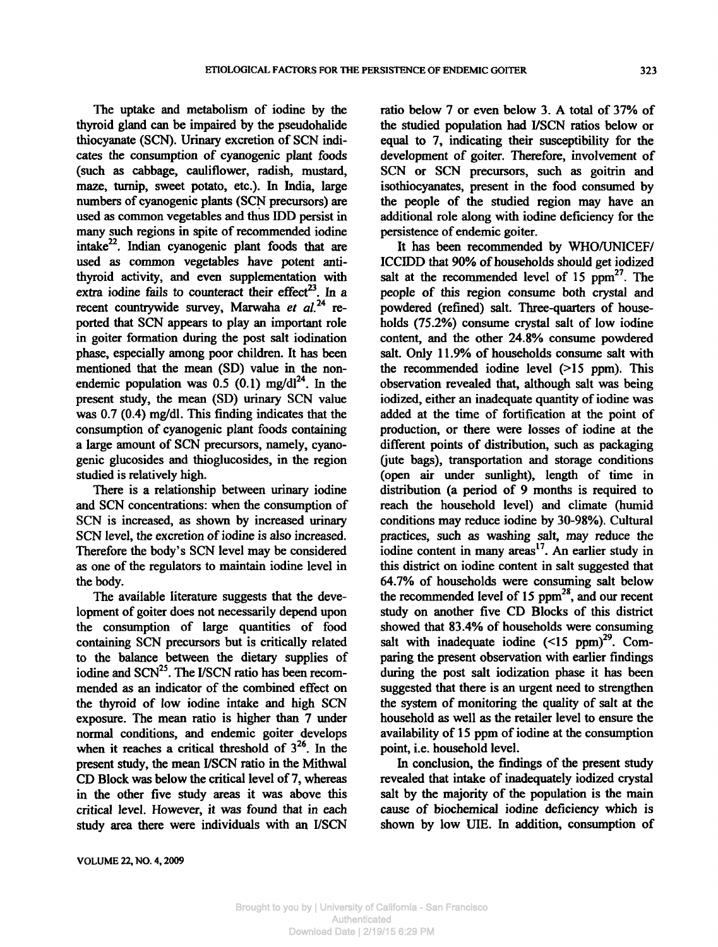The uptake and metabolism of iodine by the thyroid gland can be impaired by the pseudohalide thiocyanate (SCN). Urinary excretion of SCN indicates the consumption of cyanogenic plant foods (such as cabbage, cauliflower, radish, mustard, maze, turnip, sweet potato, etc.). In India, large numbers of cyanogenic plants (SCN precursors) are used as common vegetables and thus IDD persist in many such regions in spite of recommended iodine intake<sup>22</sup>. Indian cyanogenic plant foods that are used as common vegetables have potent antithyroid activity, and even supplementation with extra iodine fails to counteract their effect<sup>23</sup>. In a recent countrywide survey, Marwaha et al.<sup>24</sup> reported that SCN appears to play an important role in goiter formation during the post salt iodination phase, especially among poor children. It has been mentioned that the mean (SD) value in the nonendemic population was  $0.5$  (0.1) mg/dl<sup>24</sup>. In the present study, the mean (SD) urinary SCN value was 0.7 (0.4) mg/dl. This finding indicates that the consumption of cyanogenic plant foods containing a large amount of SCN precursors, namely, cyanogenic glucosides and thioglucosides, in the region studied is relatively high.

There is a relationship between urinary iodine and SCN concentrations: when the consumption of SCN is increased, as shown by increased urinary SCN level, the excretion of iodine is also increased. Therefore the body's SCN level may be considered as one of the regulators to maintain iodine level in the body.

The available literature suggests that the development of goiter does not necessarily depend upon the consumption of large quantities of food containing SCN precursors but is critically related to the balance between the dietary supplies of iodine and SCN<sup>25</sup>. The I/SCN ratio has been recommended as an indicator of the combined effect on the thyroid of low iodine intake and high SCN exposure. The mean ratio is higher than 7 under normal conditions, and endemic goiter develops when it reaches a critical threshold of  $3^{26}$ . In the present study, the mean I/SCN ratio in the Mithwal CD Block was below the critical level of 7, whereas in the other five study areas it was above this critical level. However, it was found that in each study area there were individuals with an I/SCN

ratio below 7 or even below 3. A total of 37% of the studied population had I/SCN ratios below or equal to 7, indicating their susceptibility for the development of goiter. Therefore, involvement of SCN or SCN precursors, such as goitrin and isothiocyanates, present in the food consumed by the people of the studied region may have an additional role along with iodine deficiency for the persistence of endemic goiter.

It has been recommended by WHO/UNICEF/ ICCIDD that 90% of households should get iodized salt at the recommended level of 15  $ppm<sup>27</sup>$ . The people of this region consume both crystal and powdered (refined) salt. Three-quarters of households (75.2%) consume crystal salt of low iodine content, and the other 24.8% consume powdered salt. Only 11.9% of households consume salt with the recommended iodine level (>15 ppm). This observation revealed that, although salt was being iodized, either an inadequate quantity of iodine was added at the time of fortification at the point of production, or there were losses of iodine at the different points of distribution, such as packaging (jute bags), transportation and storage conditions (open air under sunlight), length of time in distribution (a period of 9 months is required to reach the household level) and climate (humid conditions may reduce iodine by 30-98%). Cultural practices, such as washing salt, may reduce the iodine content in many areas<sup>17</sup>. An earlier study in this district on iodine content in salt suggested that 64.7% of households were consuming salt below the recommended level of 15  $ppm<sup>28</sup>$ , and our recent study on another five CD Blocks of this district showed that 83.4% of households were consuming salt with inadequate iodine  $(<15$  ppm)<sup>29</sup>. Comparing the present observation with earlier findings during the post salt iodization phase it has been suggested that there is an urgent need to strengthen the system of monitoring the quality of salt at the household as well as the retailer level to ensure the availability of 15 ppm of iodine at the consumption point, i.e. household level.

In conclusion, the findings of the present study revealed that intake of inadequately iodized crystal salt by the majority of the population is the main cause of biochemical iodine deficiency which is shown by low UIE. In addition, consumption of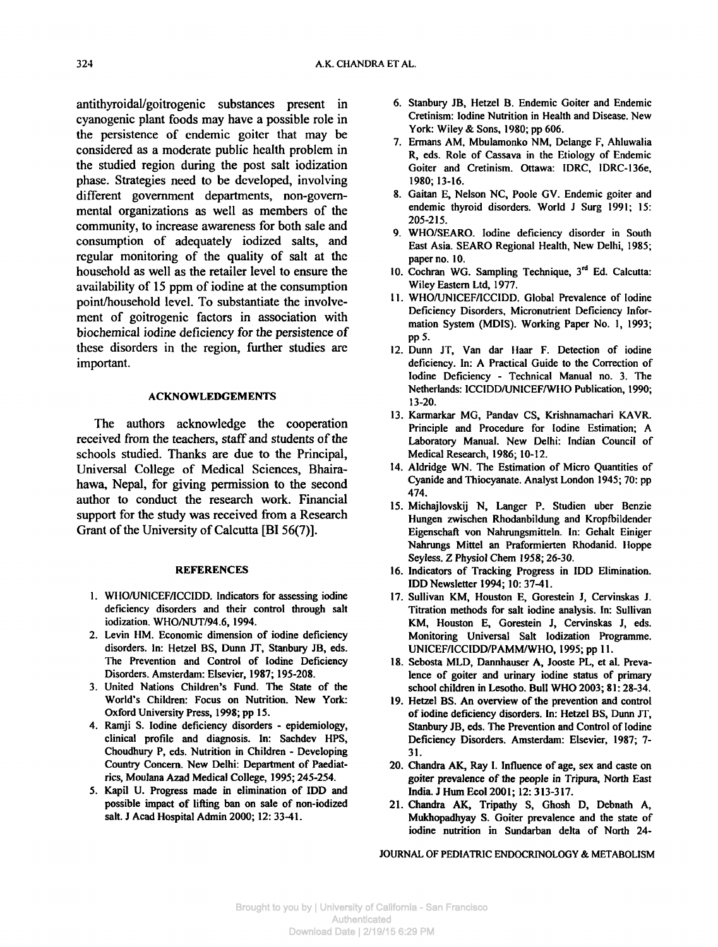antithyroidal/goitrogenic substances present in cyanogenic plant foods may have a possible role in the persistence of endemic goiter that may be considered as a moderate public health problem in the studied region during the post salt iodization phase. Strategies need to be developed, involving different government departments, non-governmental organizations as well as members of the community, to increase awareness for both sale and consumption of adequately iodized salts, and regular monitoring of the quality of salt at the household as well as the retailer level to ensure the availability of 15 ppm of iodine at the consumption point/household level. To substantiate the involvement of goitrogenic factors in association with biochemical iodine deficiency for the persistence of these disorders in the region, further studies are important.

# **ACKNOWLEDGEMENTS**

The authors acknowledge the cooperation received from the teachers, staff and students of the schools studied. Thanks are due to the Principal, Universal College of Medical Sciences, Bhairahawa, Nepal, for giving permission to the second author to conduct the research work. Financial support for the study was received from a Research Grant of the University of Calcutta [BI 56(7)].

#### **REFERENCES**

- 1. WHO/UNICEF/ICCIDD. Indicators for assessing iodine deficiency disorders and their control through salt iodization. WHO/NUT/94.6,1994.
- 2. Levin HM. Economic dimension of iodine deficiency disorders. In: Hetzel BS, Dunn JT, Stanbury JB, eds. The Prevention and Control of Iodine Deficiency Disorders. Amsterdam: Elsevier, 1987; 195-208.
- 3. United Nations Children's Fund. The State of the World's Children: Focus on Nutrition. New York: Oxford University Press, 1998; pp 15.
- 4. Ramji S. Iodine deficiency disorders epidemiology, clinical profile and diagnosis. In: Sachdev HPS, Choudhury P, eds. Nutrition in Children - Developing Country Concern. New Delhi: Department of Paediatrics, Moulana Azad Medical College, 1995; 245-254.
- 5. Kapil U. Progress made in elimination of IDD and possible impact of lifting ban on sale of non-iodized salt. J Acad Hospital Admin 2000; 12: 33-41.
- 6. Stanbury JB, Hetzel B. Endemic Goiter and Endemic Cretinism: Iodine Nutrition in Health and Disease. New York: Wiley & Sons, 1980; pp 606.
- 7. Ermans AM, Mbulamonko NM, Delange F, Ahluwalia R, eds. Role of Cassava in the Etiology of Endemic Goiter and Cretinism. Ottawa: IDRC, IDRC-136e, 1980; 13-16.
- 8. Gaitan E, Nelson NC, Poole GV. Endemic goiter and endemic thyroid disorders. World J Surg 1991; 15: 205-215.
- 9. WHO/SEARO. Iodine deficiency disorder in South East Asia. SEARO Regional Health, New Delhi, 1985; paper no. 10.
- 10. Cochran WG. Sampling Technique, 3rd Ed. Calcutta: Wiley Eastern Ltd, 1977.
- 11. WHO/UNICEF/ICCIDD. Global Prevalence of Iodine Deficiency Disorders, Micronutrient Deficiency Information System (MDIS). Working Paper No. 1, 1993; pp5.
- 12. Dunn JT, Van dar Haar F. Detection of iodine deficiency. In: A Practical Guide to the Correction of Iodine Deficiency - Technical Manual no. 3. The Netherlands: ICCIDD/UNICEF/WHO Publication, 1990; 13-20.
- 13. Karmarkar MG, Pandav CS, Krishnamachari KAVR. Principle and Procedure for Iodine Estimation; A Laboratory Manual. New Delhi: Indian Council of Medical Research, 1986; 10-12.
- 14. Aldridge WN. The Estimation of Micro Quantities of Cyanide and Thiocyanate. Analyst London 1945; 70: pp 474.
- 15. Michajlovskij N, Langer P. Studien über Benzie Hungen zwischen Rhodanbildung and Kropfbildender Eigenschaft von Nahrungsmitteln. In: Gehalt Einiger Nahrungs Mittel an Praformierten Rhodanid. Hoppe Seyless. Z Physiol Chem 1958; 26-30.
- 16. Indicators of Tracking Progress in IDD Elimination. IDD Newsletter 1994; 10: 37-41.
- 17. Sullivan KM, Houston E, Gorestein J, Cervinskas J. Titration methods for salt iodine analysis. In: Sullivan KM, Houston E, Gorestein J, Cervinskas J, eds. Monitoring Universal Salt Iodization Programme. UNICEF/ICCIDD/PAMM/WHO, 1995; pp 11.
- 18. Sebosta MLD, Dannhauser A, Jooste PL, et al. Prevalence of goiter and urinary iodine status of primary school children in Lesotho. Bull WHO 2003; 81: 28-34.
- 19. Hetzel BS. An overview of the prevention and control of iodine deficiency disorders. In: Hetzel BS, Dunn JT, Stanbury JB, eds. The Prevention and Control of Iodine Deficiency Disorders. Amsterdam: Elsevier, 1987; 7- 31.
- 20. Chandra AK, Ray I. Influence of age, sex and caste on goiter prevalence of the people in Tripura, North East India. J Hum Ecol 2001; 12:313-317.
- 21. Chandra AK, Tripathy S, Ghosh D, Debnath A, Mukhopadhyay S. Goiter prevalence and the state of iodine nutrition in Sundarban delta of North 24-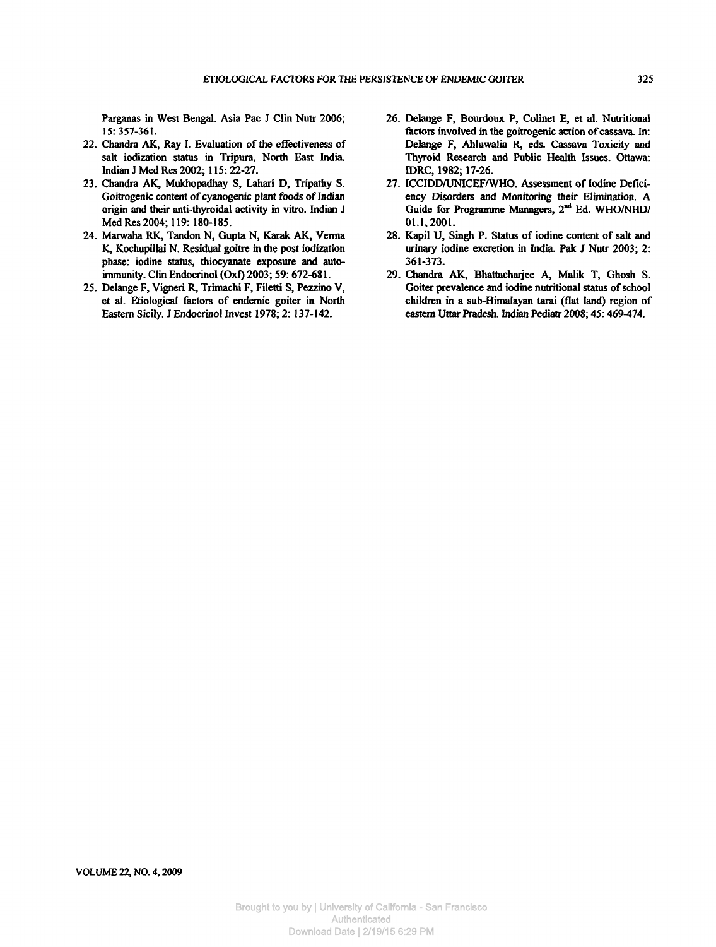Parganas in West Bengal. Asia Pac J Clin Nutr 2006; 15:357-361.

- 22. Chandra AK, Ray I. Evaluation of the effectiveness of salt iodization status in Tripura, North East India. Indian J Med Res 2002; 115:22-27.
- 23. Chandra AK, Mukhopadhay S, Lahari D, Tripathy S. Goitrogenic content of cyanogenic plant foods of Indian origin and their anti-thyroidal activity in vitro. Indian J Med Res 2004; 119: 180-185.
- 24. Marwaha RK, Tandon N, Gupta N, Karak AK, Verma K, Kochupillai N. Residual goitre in the post iodization phase: iodine status, thiocyanate exposure and autoimmunity. Clin Endocrinol (Oxf) 2003; 59: 672-681.
- 25. Delange F, Vigneri R, Trimachi F, Filetti S, Pezzino V, et al. Etiological factors of endemic goiter in North Eastern Sicily. *3* Endocrinol Invest 1978; 2:137-142.
- 26. Delange F, Bourdoux P, Colinet E, et al. Nutritional factors involved in the goitrogenic action of cassava. In: Delange F, Ahluwalia R, eds. Cassava Toxicity and Thyroid Research and Public Health Issues. Ottawa: IDRC, 1982; 17-26.
- 27. ICCIDD/UNICEF/WHO. Assessment of Iodine Deficiency Disorders and Monitoring their Elimination. A Guide for Programme Managers, 2<sup>nd</sup> Ed. WHO/NHD/ 01.1,2001.
- 28. Kapil U, Singh P. Status of iodine content of salt and urinary iodine excretion in India. Pak J Nutr 2003; 2: 361-373.
- 29. Chandra AK, Bhattacharjee A, Malik T, Ghosh S. Goiter prevalence and iodine nutritional status of school children in a sub-Himalayan tarai (flat land) region of eastern Uttar Pradesh. Indian Pediatr 2008; 45: 469-474.